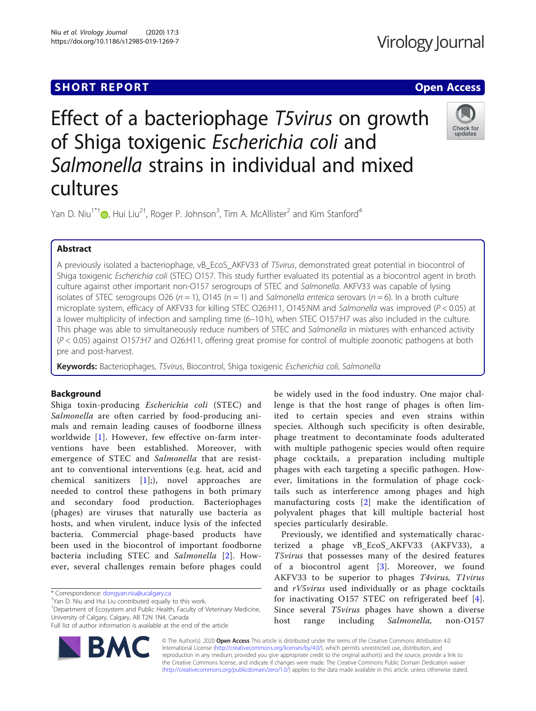## **SHORT REPORT CONTRACT CONTRACT CONTRACT CONTRACT CONTRACT CONTRACT CONTRACT CONTRACT CONTRACT CONTRACT CONTRACT CONTRACT CONTRACT CONTRACT CONTRACT CONTRACT CONTRACT CONTRACT CONTRACT CONTRACT CONTRACT CONTRACT CONTRACT C**

Check for updates

# Effect of a bacteriophage T5virus on growth of Shiga toxigenic Escherichia coli and Salmonella strains in individual and mixed cultures

Yan D. Niu<sup>1\*†</sup>®[,](http://orcid.org/0000-0002-4483-5734) Hui Liu<sup>2†</sup>, Roger P. Johnson<sup>3</sup>, Tim A. McAllister<sup>2</sup> and Kim Stanford<sup>4</sup>

## Abstract

A previously isolated a bacteriophage, vB\_EcoS\_AKFV33 of T5virus, demonstrated great potential in biocontrol of Shiga toxigenic Escherichia coli (STEC) O157. This study further evaluated its potential as a biocontrol agent in broth culture against other important non-O157 serogroups of STEC and Salmonella. AKFV33 was capable of lysing isolates of STEC serogroups O26 ( $n = 1$ ), O145 ( $n = 1$ ) and Salmonella enterica serovars ( $n = 6$ ). In a broth culture microplate system, efficacy of AKFV33 for killing STEC O26:H11, O145:NM and Salmonella was improved (P < 0.05) at a lower multiplicity of infection and sampling time (6–10 h), when STEC O157:H7 was also included in the culture. This phage was able to simultaneously reduce numbers of STEC and Salmonella in mixtures with enhanced activity (P < 0.05) against O157:H7 and O26:H11, offering great promise for control of multiple zoonotic pathogens at both pre and post-harvest.

Keywords: Bacteriophages, T5virus, Biocontrol, Shiga toxigenic Escherichia coli, Salmonella

## Background

Shiga toxin-producing Escherichia coli (STEC) and Salmonella are often carried by food-producing animals and remain leading causes of foodborne illness worldwide [[1\]](#page-6-0). However, few effective on-farm interventions have been established. Moreover, with emergence of STEC and Salmonella that are resistant to conventional interventions (e.g. heat, acid and chemical sanitizers [[1\]](#page-6-0);), novel approaches are needed to control these pathogens in both primary and secondary food production. Bacteriophages (phages) are viruses that naturally use bacteria as hosts, and when virulent, induce lysis of the infected bacteria. Commercial phage-based products have been used in the biocontrol of important foodborne bacteria including STEC and Salmonella [[2](#page-6-0)]. However, several challenges remain before phages could

\* Correspondence: [dongyan.niu@ucalgary.ca](mailto:dongyan.niu@ucalgary.ca) †

<sup>1</sup>Department of Ecosystem and Public Health, Faculty of Veterinary Medicine, University of Calgary, Calgary, AB T2N 1N4, Canada

Full list of author information is available at the end of the article



be widely used in the food industry. One major challenge is that the host range of phages is often limited to certain species and even strains within species. Although such specificity is often desirable, phage treatment to decontaminate foods adulterated with multiple pathogenic species would often require phage cocktails, a preparation including multiple phages with each targeting a specific pathogen. However, limitations in the formulation of phage cocktails such as interference among phages and high manufacturing costs [[2](#page-6-0)] make the identification of polyvalent phages that kill multiple bacterial host species particularly desirable.

Previously, we identified and systematically characterized a phage vB\_EcoS\_AKFV33 (AKFV33), a T5virus that possesses many of the desired features of a biocontrol agent [[3](#page-6-0)]. Moreover, we found AKFV33 to be superior to phages T4virus, T1virus and rV5virus used individually or as phage cocktails for inactivating O157 STEC on refrigerated beef [[4](#page-6-0)]. Since several T5virus phages have shown a diverse host range including Salmonella, non-O157

© The Author(s). 2020 Open Access This article is distributed under the terms of the Creative Commons Attribution 4.0 International License [\(http://creativecommons.org/licenses/by/4.0/](http://creativecommons.org/licenses/by/4.0/)), which permits unrestricted use, distribution, and reproduction in any medium, provided you give appropriate credit to the original author(s) and the source, provide a link to the Creative Commons license, and indicate if changes were made. The Creative Commons Public Domain Dedication waiver [\(http://creativecommons.org/publicdomain/zero/1.0/](http://creativecommons.org/publicdomain/zero/1.0/)) applies to the data made available in this article, unless otherwise stated.

<sup>&</sup>lt;sup>+</sup>Yan D. Niu and Hui Liu contributed equally to this work.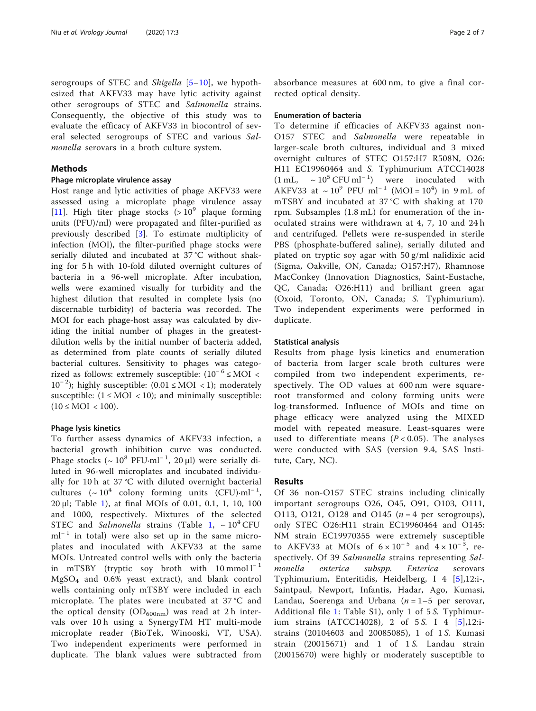serogroups of STEC and Shigella  $[5-10]$  $[5-10]$  $[5-10]$  $[5-10]$  $[5-10]$ , we hypothesized that AKFV33 may have lytic activity against other serogroups of STEC and Salmonella strains. Consequently, the objective of this study was to evaluate the efficacy of AKFV33 in biocontrol of several selected serogroups of STEC and various Salmonella serovars in a broth culture system.

## Methods

## Phage microplate virulence assay

Host range and lytic activities of phage AKFV33 were assessed using a microplate phage virulence assay [[11\]](#page-6-0). High titer phage stocks  $(>10^9$  plaque forming units (PFU)/ml) were propagated and filter-purified as previously described [[3\]](#page-6-0). To estimate multiplicity of infection (MOI), the filter-purified phage stocks were serially diluted and incubated at 37 °C without shaking for 5 h with 10-fold diluted overnight cultures of bacteria in a 96-well microplate. After incubation, wells were examined visually for turbidity and the highest dilution that resulted in complete lysis (no discernable turbidity) of bacteria was recorded. The MOI for each phage-host assay was calculated by dividing the initial number of phages in the greatestdilution wells by the initial number of bacteria added, as determined from plate counts of serially diluted bacterial cultures. Sensitivity to phages was categorized as follows: extremely susceptible:  $(10^{-6} \leq MOL <$ 10<sup>−</sup> <sup>2</sup> ); highly susceptible: (0.01 ≤ MOI < 1); moderately susceptible:  $(1 \le MOI < 10)$ ; and minimally susceptible:  $(10 \le MOI < 100)$ .

#### Phage lysis kinetics

To further assess dynamics of AKFV33 infection, a bacterial growth inhibition curve was conducted. Phage stocks (~ 10<sup>8</sup> PFU⋅ml<sup>-1</sup>, 20 μl) were serially diluted in 96-well microplates and incubated individually for 10 h at 37 °C with diluted overnight bacterial cultures  $({\sim 10^4}$  colony forming units  $(CFU)·ml^{-1}$ , 20 μl; Table [1](#page-2-0)), at final MOIs of 0.01, 0.1, 1, 10, 100 and 1000, respectively. Mixtures of the selected STEC and Salmonella strains (Table [1](#page-2-0),  $\sim 10^4$  CFU  $ml<sup>-1</sup>$  in total) were also set up in the same microplates and inoculated with AKFV33 at the same MOIs. Untreated control wells with only the bacteria in mTSBY (tryptic soy broth with  $10 \text{ mmol } l^{-1}$  $MgSO<sub>4</sub>$  and 0.6% yeast extract), and blank control wells containing only mTSBY were included in each microplate. The plates were incubated at 37 °C and the optical density ( $OD_{600nm}$ ) was read at 2 h intervals over 10 h using a SynergyTM HT multi-mode microplate reader (BioTek, Winooski, VT, USA). Two independent experiments were performed in duplicate. The blank values were subtracted from absorbance measures at 600 nm, to give a final corrected optical density.

#### Enumeration of bacteria

To determine if efficacies of AKFV33 against non-O157 STEC and Salmonella were repeatable in larger-scale broth cultures, individual and 3 mixed overnight cultures of STEC O157:H7 R508N, O26: H11 EC19960464 and S. Typhimurium ATCC14028  $(1 \text{ mL}, \sim 10^5 \text{ CFU ml}^{-1})$  were inoculated with AKFV33 at  $\sim 10^9$  PFU ml<sup>-1</sup> (MOI = 10<sup>4</sup>) in 9 mL of mTSBY and incubated at 37 °C with shaking at 170 rpm. Subsamples (1.8 mL) for enumeration of the inoculated strains were withdrawn at 4, 7, 10 and 24 h and centrifuged. Pellets were re-suspended in sterile PBS (phosphate-buffered saline), serially diluted and plated on tryptic soy agar with 50 g/ml nalidixic acid (Sigma, Oakville, ON, Canada; O157:H7), Rhamnose MacConkey (Innovation Diagnostics, Saint-Eustache, QC, Canada; O26:H11) and brilliant green agar (Oxoid, Toronto, ON, Canada; S. Typhimurium). Two independent experiments were performed in duplicate.

## Statistical analysis

Results from phage lysis kinetics and enumeration of bacteria from larger scale broth cultures were compiled from two independent experiments, respectively. The OD values at 600 nm were squareroot transformed and colony forming units were log-transformed. Influence of MOIs and time on phage efficacy were analyzed using the MIXED model with repeated measure. Least-squares were used to differentiate means  $(P < 0.05)$ . The analyses were conducted with SAS (version 9.4, SAS Institute, Cary, NC).

### Results

Of 36 non-O157 STEC strains including clinically important serogroups O26, O45, O91, O103, O111, O113, O121, O128 and O145 ( $n = 4$  per serogroups), only STEC O26:H11 strain EC19960464 and O145: NM strain EC19970355 were extremely susceptible to AKFV33 at MOIs of  $6 \times 10^{-5}$  and  $4 \times 10^{-3}$ , respectively. Of 39 Salmonella strains representing Salmonella enterica subspp. Enterica serovars Typhimurium, Enteritidis, Heidelberg, I 4 [[5\]](#page-6-0),12:i-, Saintpaul, Newport, Infantis, Hadar, Ago, Kumasi, Landau, Soerenga and Urbana ( $n = 1-5$  per serovar, Additional file [1:](#page-5-0) Table S1), only 1 of 5 S. Typhimur-ium strains (ATCC14028), 2 of [5](#page-6-0) S. I 4  $[5]$ ,12:istrains (20104603 and 20085085), 1 of 1 S. Kumasi strain  $(20015671)$  and 1 of 1S. Landau strain (20015670) were highly or moderately susceptible to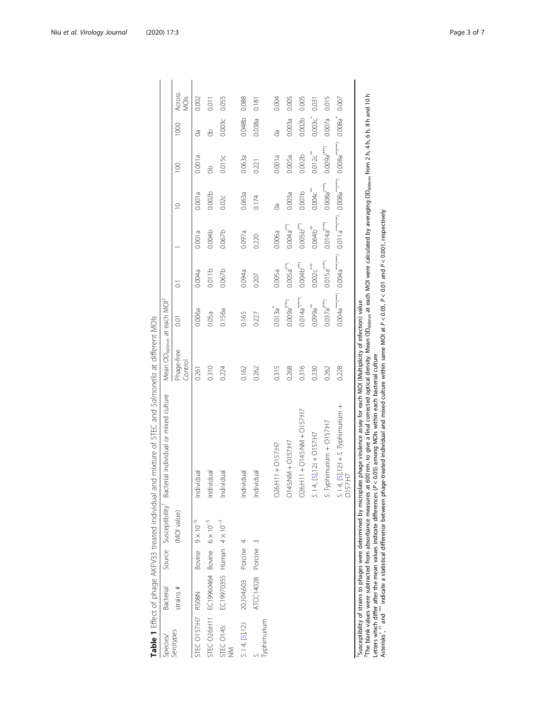<span id="page-2-0"></span>

| Species/              | Bacterial                                         | Source Susceptibility Bacter                                      | ial individual or mixed culture                                                                                                                                                                                                                                                                                              |                       | Mean OD <sub>600nm</sub> at each MOI <sup>2</sup> |                                  |                        |                  |                  |                    |                |
|-----------------------|---------------------------------------------------|-------------------------------------------------------------------|------------------------------------------------------------------------------------------------------------------------------------------------------------------------------------------------------------------------------------------------------------------------------------------------------------------------------|-----------------------|---------------------------------------------------|----------------------------------|------------------------|------------------|------------------|--------------------|----------------|
| Serotypes             | strains $#$                                       | (MOI value)                                                       |                                                                                                                                                                                                                                                                                                                              | Phage-free<br>Control | 0.01                                              | ៊                                |                        | $\supseteq$      | $\overline{100}$ | 1000               | Across<br>MOls |
| STEC O157:H7 R508N    |                                                   | Bovine $9 \times 10^{-6}$                                         | Individual                                                                                                                                                                                                                                                                                                                   | 0.261                 | 0.006a                                            | 0.004a                           | 0.001a                 | 0.001 a          | 0.001a           | පි                 | 0.002          |
|                       | STEC 026:H11 EC19960464 Bovine 6×10 <sup>-5</sup> |                                                                   | Individual                                                                                                                                                                                                                                                                                                                   | 0.310                 | 0.05a                                             | 0.011b                           | 0.004b                 | 0.002b           | g                | 9                  | 0.011          |
| STEC O145:<br>$\geq$  | EC19970355 Human $4 \times 10^{-3}$               |                                                                   | Individual                                                                                                                                                                                                                                                                                                                   | 0.224                 | 0.156a                                            | 0.067 <sub>b</sub>               | 0.067 <sub>b</sub>     | 0.02c            | 0.015c           | 0.003c             | 0.055          |
| $5.14$ , $[5]$ , 12:1 | 20,104,603 Porcine                                |                                                                   | Individual                                                                                                                                                                                                                                                                                                                   | 0.162                 | 0.165                                             | 0.094a                           | 0.097a                 | 0.063a           | 0.063a           | 0.048b 0.088       |                |
| <b>Typhimurium</b>    | ATCC14028 Porcine                                 | $\infty$                                                          | Individual                                                                                                                                                                                                                                                                                                                   | 0.262                 | 0.227                                             | 0.207                            | 0.220                  | 0.174            | 0.221            | 0.038a             | 0.181          |
|                       |                                                   |                                                                   | O26:H11+0157:H7                                                                                                                                                                                                                                                                                                              | 0.315                 | $0.013a^*$                                        | 0.005a                           | 0.006a                 | 80               | 0.001a           | ලී                 | 0.004          |
|                       |                                                   |                                                                   | $O145:NM + O157:H$                                                                                                                                                                                                                                                                                                           | 0.268                 | $0.009a^{(***)}$                                  | $0.005a^{(**)}$                  | $0.004a^{(**)}$        | 0.003a           | 0.005a           | 0.003a             | 0.005          |
|                       |                                                   |                                                                   | O26:H11 + O145:NM + O157:H7                                                                                                                                                                                                                                                                                                  | 0.316                 | $0.014a^{*(***)}$                                 | $0.004b^{(**)}$                  | $0.005 b^{***}$        | 0.001b           | 0.002b           | 0.002 <sub>b</sub> | 0.005          |
|                       |                                                   |                                                                   | $S. 14, [5], 12i + O157:H$                                                                                                                                                                                                                                                                                                   | 0.230                 | 0.099a                                            | 0.002c                           | $0.064b$ <sup>**</sup> | 0.004c           | 0.012c           | 0.003c             | 0.031          |
|                       |                                                   |                                                                   | S. Typhimurium + O157:H7                                                                                                                                                                                                                                                                                                     | 0.262                 | $0.037a^{(***)}$                                  | $0.015a^{(***)}$                 | $0.014a^{(***)}$       | $0.008a^{(***)}$ | $0.009a^{(***)}$ | 0.007a             | 0.015          |
|                       |                                                   |                                                                   | $S. 14, [5]$ , 12:1 + S. Typhimurium +<br><b>O157:H7</b>                                                                                                                                                                                                                                                                     | 0.228                 | $0.004a^{***}$                                    | $0.004a***$ <sup>***</sup> (***) | $0.011a^{***(***}$     | $0.008a^{***}$   | $0.008a^{***}$   | $0.008a^*$         | 0.007          |
|                       |                                                   | Susceptibility of strains to phages were determined by microplate | <sup>21</sup> The blank values were subtracted from absorbance measures at 600 nm, to give a final corrected optical density. Mean OD <sub>econm</sub> at each MOI were calculated by averaging OD <sub>econm</sub> from 2 h, 4 h, 6 h, 8 h and 10 h<br>phage virulence assay for each MOI (Multiplicity of infection) value |                       |                                                   |                                  |                        |                  |                  |                    |                |

Table 1 Effect of phage AKFV33 treated individual and mixture of STEC and Salmonella at different MOIs

<sup>2</sup>The blank values were subtracted from absorbance measures at 600 nm, to give a final corrected optical density. Mean OD<sub>600nm</sub> at each MOI were calculated by averaging OD<sub>600nm</sub> from 2 h, 4 h, 6 h, 8 h and 10 h Letters which differ after the mean values indicate differences (P < 0.05) among MOIs within each bacterial culture

Asterisks,  $^*$  and  $^*$  indicate a statistical difference between phage-treated individual and mixed culture within same MOI at P < 0.05, P < 0.01 and P < 0.001, respectively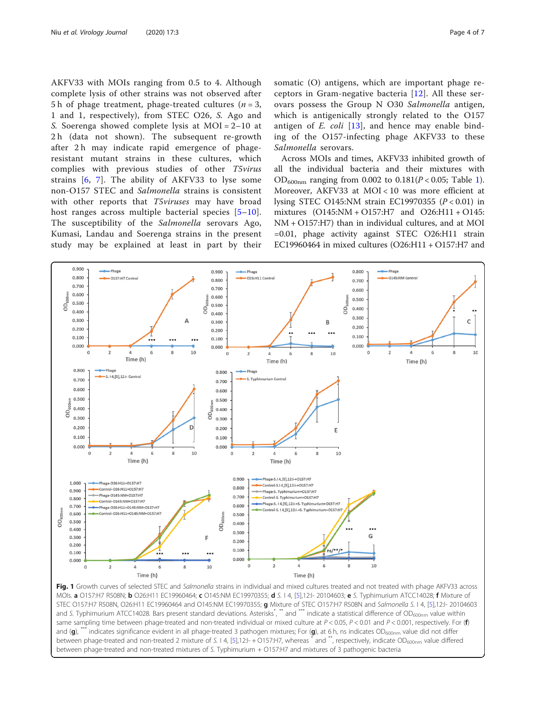<span id="page-3-0"></span>AKFV33 with MOIs ranging from 0.5 to 4. Although complete lysis of other strains was not observed after 5 h of phage treatment, phage-treated cultures ( $n = 3$ , 1 and 1, respectively), from STEC O26, S. Ago and S. Soerenga showed complete lysis at MOI = 2–10 at 2 h (data not shown). The subsequent re-growth after 2 h may indicate rapid emergence of phageresistant mutant strains in these cultures, which complies with previous studies of other T5virus strains [[6,](#page-6-0) [7\]](#page-6-0). The ability of AKFV33 to lyse some non-O157 STEC and Salmonella strains is consistent with other reports that T5viruses may have broad host ranges across multiple bacterial species [[5](#page-6-0)–[10](#page-6-0)]. The susceptibility of the Salmonella serovars Ago, Kumasi, Landau and Soerenga strains in the present study may be explained at least in part by their somatic (O) antigens, which are important phage receptors in Gram-negative bacteria [[12](#page-6-0)]. All these serovars possess the Group N O30 Salmonella antigen, which is antigenically strongly related to the O157 antigen of  $E.$  coli  $[13]$  $[13]$ , and hence may enable binding of the O157-infecting phage AKFV33 to these Salmonella serovars.

Across MOIs and times, AKFV33 inhibited growth of all the individual bacteria and their mixtures with  $OD_{600nm}$  ranging from 0.002 to 0.[1](#page-2-0)81( $P < 0.05$ ; Table 1). Moreover, AKFV33 at MOI < 10 was more efficient at lysing STEC O145:NM strain EC19970355 ( $P < 0.01$ ) in mixtures (O145:NM + O157:H7 and O26:H11 + O145: NM + O157:H7) than in individual cultures, and at MOI =0.01, phage activity against STEC O26:H11 strain EC19960464 in mixed cultures (O26:H11 + O157:H7 and



MOIs. a O157:H7 R508N; b O26:H11 EC19960464; c O145:NM EC19970355; d S. I 4, [\[5](#page-6-0)],12:I- 20104603; e S. Typhimurium ATCC14028; f Mixture of STEC O157:H7 R508N, O26:H11 EC19960464 and O145:NM EC19970355; g Mixture of STEC O157:H7 R508N and Salmonella S. I 4, [\[5\]](#page-6-0),12:I- 20104603 and S. Typhimurium ATCC14028. Bars present standard deviations. Asterisks<sup>\*</sup>, \*\* and \*\*\* indicate a statistical difference of OD<sub>600nm</sub> value within same sampling time between phage-treated and non-treated individual or mixed culture at  $P < 0.05$ ,  $P < 0.01$  and  $P < 0.001$ , respectively. For (f) and (g), \*\*\* indicates significance evident in all phage-treated 3 pathogen mixtures; For (g), at 6 h, ns indicates OD<sub>600nm</sub> value did not differ between phage-treated and non-treated 2 mixture of S. 14, [\[5\]](#page-6-0),12:I-+O157:H7, whereas \* and \*\*, respectively, indicate OD<sub>600nm</sub> value differed between phage-treated and non-treated mixtures of S. Typhimurium + O157:H7 and mixtures of 3 pathogenic bacteria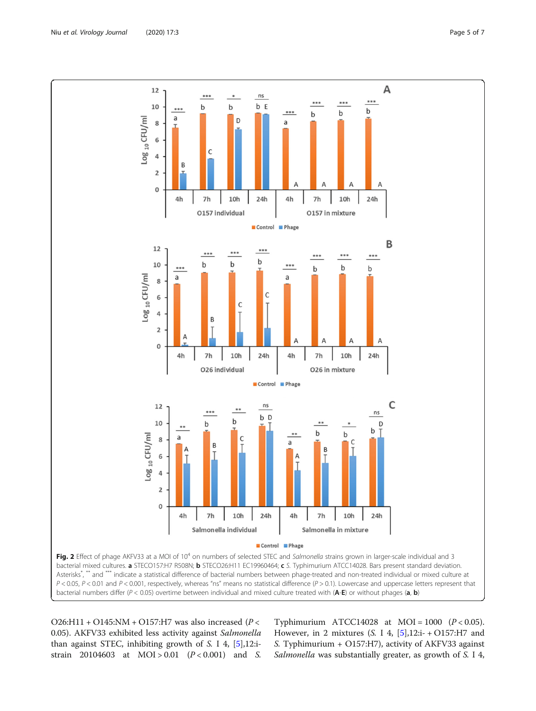<span id="page-4-0"></span>

O26:H11 + O145:NM + O157:H7 was also increased ( $P$  < 0.05). AKFV33 exhibited less activity against Salmonella than against STEC, inhibiting growth of S. I 4, [\[5](#page-6-0)],12:istrain 20104603 at  $MOI > 0.01$   $(P < 0.001)$  and S.

Typhimurium ATCC14028 at MOI =  $1000$  ( $P < 0.05$ ). However, in 2 mixtures (S. I 4,  $[5]$  $[5]$ ,12:i- + O157:H7 and S. Typhimurium + O157:H7), activity of AKFV33 against Salmonella was substantially greater, as growth of S. I 4,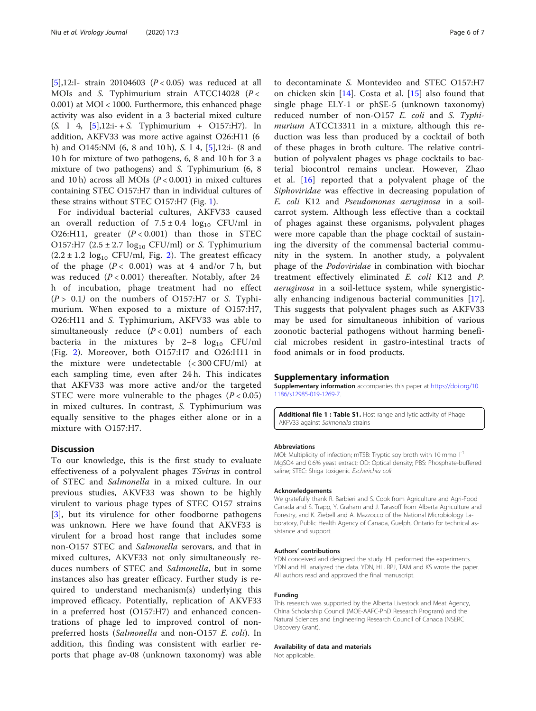<span id="page-5-0"></span>[[5\]](#page-6-0),12:I- strain 20104603 ( $P < 0.05$ ) was reduced at all MOIs and S. Typhimurium strain ATCC14028 ( $P <$ 0.001) at MOI < 1000. Furthermore, this enhanced phage activity was also evident in a 3 bacterial mixed culture (S. I 4, [\[5](#page-6-0)],12:i- + S. Typhimurium + O157:H7). In addition, AKFV33 was more active against O26:H11 (6 h) and O145:NM (6, 8 and 10 h), S. I 4, [[5\]](#page-6-0),12:i- (8 and 10 h for mixture of two pathogens, 6, 8 and 10 h for 3 a mixture of two pathogens) and S. Typhimurium (6, 8 and 10 h) across all MOIs  $(P < 0.001)$  in mixed cultures containing STEC O157:H7 than in individual cultures of these strains without STEC O157:H7 (Fig. [1](#page-3-0)).

For individual bacterial cultures, AKFV33 caused an overall reduction of  $7.5 \pm 0.4$  log<sub>10</sub> CFU/ml in O26:H11, greater  $(P < 0.001)$  than those in STEC O157:H7 ( $2.5 \pm 2.7$  log<sub>10</sub> CFU/ml) or S. Typhimurium  $(2.2 \pm 1.2 \log_{10} CFU/ml, Fig. 2)$  $(2.2 \pm 1.2 \log_{10} CFU/ml, Fig. 2)$  $(2.2 \pm 1.2 \log_{10} CFU/ml, Fig. 2)$ . The greatest efficacy of the phage  $(P < 0.001)$  was at 4 and/or 7h, but was reduced  $(P < 0.001)$  thereafter. Notably, after 24 h of incubation, phage treatment had no effect  $(P > 0.1)$  on the numbers of O157:H7 or S. Typhimurium. When exposed to a mixture of O157:H7, O26:H11 and S. Typhimurium, AKFV33 was able to simultaneously reduce  $(P < 0.01)$  numbers of each bacteria in the mixtures by  $2-8$   $log_{10}$  CFU/ml (Fig. [2](#page-4-0)). Moreover, both O157:H7 and O26:H11 in the mixture were undetectable (< 300 CFU/ml) at each sampling time, even after 24 h. This indicates that AKFV33 was more active and/or the targeted STEC were more vulnerable to the phages  $(P < 0.05)$ in mixed cultures. In contrast, S. Typhimurium was equally sensitive to the phages either alone or in a mixture with O157:H7.

#### **Discussion**

To our knowledge, this is the first study to evaluate effectiveness of a polyvalent phages T5virus in control of STEC and Salmonella in a mixed culture. In our previous studies, AKVF33 was shown to be highly virulent to various phage types of STEC O157 strains [[3\]](#page-6-0), but its virulence for other foodborne pathogens was unknown. Here we have found that AKVF33 is virulent for a broad host range that includes some non-O157 STEC and Salmonella serovars, and that in mixed cultures, AKVF33 not only simultaneously reduces numbers of STEC and Salmonella, but in some instances also has greater efficacy. Further study is required to understand mechanism(s) underlying this improved efficacy. Potentially, replication of AKVF33 in a preferred host (O157:H7) and enhanced concentrations of phage led to improved control of nonpreferred hosts (Salmonella and non-O157 E. coli). In addition, this finding was consistent with earlier reports that phage av-08 (unknown taxonomy) was able

to decontaminate S. Montevideo and STEC O157:H7 on chicken skin [\[14](#page-6-0)]. Costa et al. [[15](#page-6-0)] also found that single phage ELY-1 or phSE-5 (unknown taxonomy) reduced number of non-O157 E. coli and S. Typhimurium ATCC13311 in a mixture, although this reduction was less than produced by a cocktail of both of these phages in broth culture. The relative contribution of polyvalent phages vs phage cocktails to bacterial biocontrol remains unclear. However, Zhao et al. [\[16](#page-6-0)] reported that a polyvalent phage of the Siphoviridae was effective in decreasing population of E. coli K12 and Pseudomonas aeruginosa in a soilcarrot system. Although less effective than a cocktail of phages against these organisms, polyvalent phages were more capable than the phage cocktail of sustaining the diversity of the commensal bacterial community in the system. In another study, a polyvalent phage of the Podoviridae in combination with biochar treatment effectively eliminated E. coli K12 and P. aeruginosa in a soil-lettuce system, while synergistically enhancing indigenous bacterial communities [\[17](#page-6-0)]. This suggests that polyvalent phages such as AKFV33 may be used for simultaneous inhibition of various zoonotic bacterial pathogens without harming beneficial microbes resident in gastro-intestinal tracts of food animals or in food products.

#### Supplementary information

Supplementary information accompanies this paper at [https://doi.org/10.](https://doi.org/10.1186/s12985-019-1269-7) [1186/s12985-019-1269-7.](https://doi.org/10.1186/s12985-019-1269-7)

Additional file 1 : Table S1. Host range and lytic activity of Phage AKFV33 against Salmonella strains

#### Abbreviations

MOI: Multiplicity of infection; mTSB: Tryptic soy broth with 10 mmol  $I^{-1}$ MgSO4 and 0.6% yeast extract; OD: Optical density; PBS: Phosphate-buffered saline; STEC: Shiga toxigenic Escherichia coli

#### Acknowledgements

We gratefully thank R. Barbieri and S. Cook from Agriculture and Agri-Food Canada and S. Trapp, Y. Graham and J. Tarasoff from Alberta Agriculture and Forestry, and K. Ziebell and A. Mazzocco of the National Microbiology Laboratory, Public Health Agency of Canada, Guelph, Ontario for technical assistance and support.

#### Authors' contributions

YDN conceived and designed the study. HL performed the experiments. YDN and HL analyzed the data. YDN, HL, RPJ, TAM and KS wrote the paper. All authors read and approved the final manuscript.

#### Funding

This research was supported by the Alberta Livestock and Meat Agency, China Scholarship Council (MOE-AAFC-PhD Research Program) and the Natural Sciences and Engineering Research Council of Canada (NSERC Discovery Grant).

#### Availability of data and materials

Not applicable.